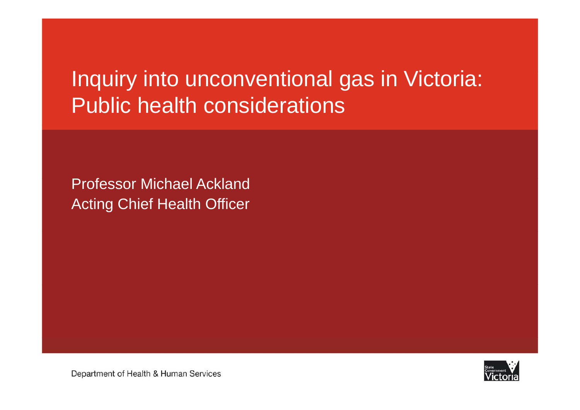# Inquiry into unconventional gas in Victoria: Public health considerations

Professor Michael Ackland Acting Chief Health Officer



Department of Health & Human Services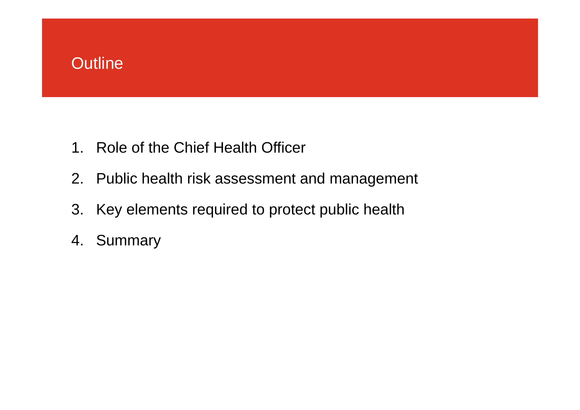# Outline

- 1. Role of the Chief Health Officer
- 2. Public health risk assessment and management
- 3. Key elements required to protect public health
- 4. Summary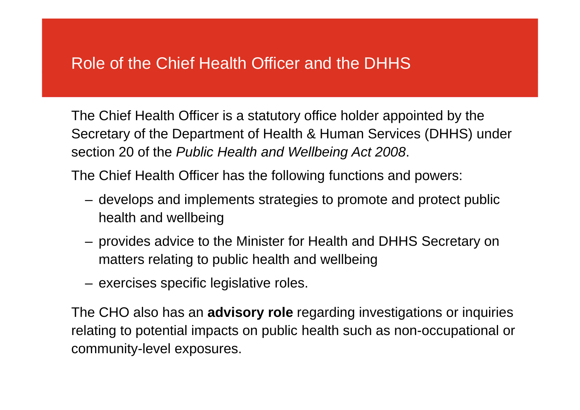### Role of the Chief Health Officer and the DHHS

The Chief Health Officer is a statutory office holder appointed by the Secretary of the Department of Health & Human Services (DHHS) under section 20 of the *Public Health and Wellbeing Act 2008*.

The Chief Health Officer has the following functions and powers:

- develops and implements strategies to promote and protect public health and wellbeing
- provides advice to the Minister for Health and DHHS Secretary on matters relating to public health and wellbeing
- exercises specific legislative roles.

The CHO also has an **advisory role** regarding investigations or inquiries relating to potential impacts on public health such as non-occupational or community-level exposures.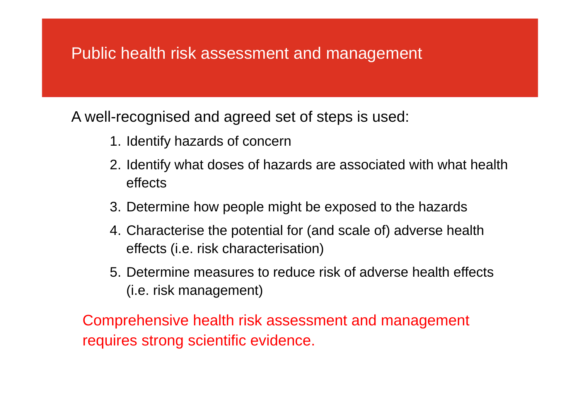### Public health risk assessment and management

A well-recognised and agreed set of steps is used:

- 1. Identify hazards of concern
- 2. Identify what doses of hazards are associated with what health effects
- 3. Determine how people might be exposed to the hazards
- 4. Characterise the potential for (and scale of) adverse health effects (i.e. risk characterisation)
- 5. Determine measures to reduce risk of adverse health effects (i.e. risk management)

Comprehensive health risk assessment and management requires strong scientific evidence.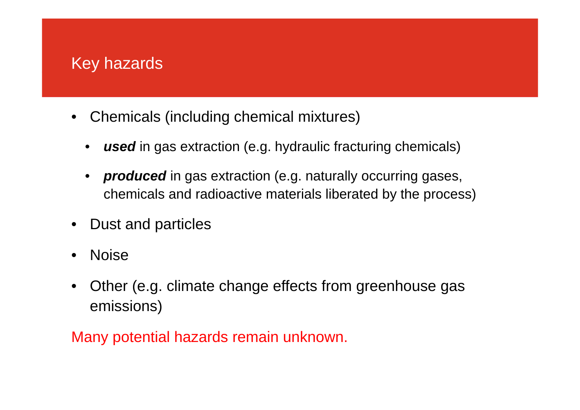### Key hazards

- Chemicals (including chemical mixtures)
	- *used* in gas extraction (e.g. hydraulic fracturing chemicals)
	- •*produced* in gas extraction (e.g. naturally occurring gases, chemicals and radioactive materials liberated by the process)
- Dust and particles
- $\bullet$ Noise
- • Other (e.g. climate change effects from greenhouse gas emissions)

Many potential hazards remain unknown.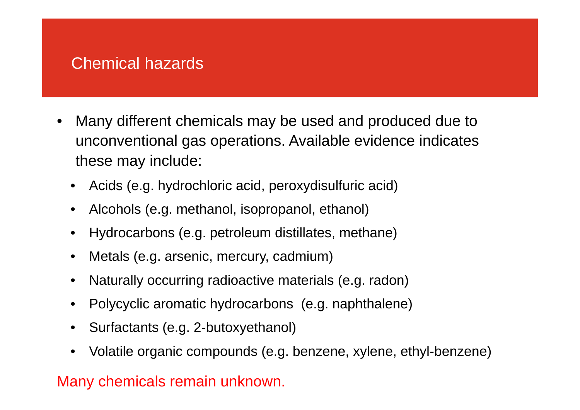### Chemical hazards

- $\bullet$  Many different chemicals may be used and produced due to unconventional gas operations. Available evidence indicates these may include:
	- Acids (e.g. hydrochloric acid, peroxydisulfuric acid)
	- Alcohols (e.g. methanol, isopropanol, ethanol)
	- •Hydrocarbons (e.g. petroleum distillates, methane)
	- $\bullet$ Metals (e.g. arsenic, mercury, cadmium)
	- •Naturally occurring radioactive materials (e.g. radon)
	- •Polycyclic aromatic hydrocarbons (e.g. naphthalene)
	- Surfactants (e.g. 2-butoxyethanol)
	- •Volatile organic compounds (e.g. benzene, xylene, ethyl-benzene)

### Many chemicals remain unknown.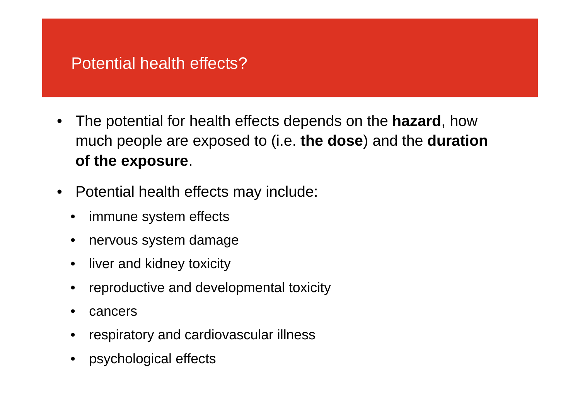### Potential health effects?

- $\bullet$  The potential for health effects depends on the **hazard**, how much people are exposed to (i.e. **the dose**) and the **duration of the exposure**.
- $\bullet$  Potential health effects may include:
	- $\bullet$ immune system effects
	- $\bullet$ nervous system damage
	- liver and kidney toxicity
	- •reproductive and developmental toxicity
	- $\bullet$ cancers
	- •respiratory and cardiovascular illness
	- •psychological effects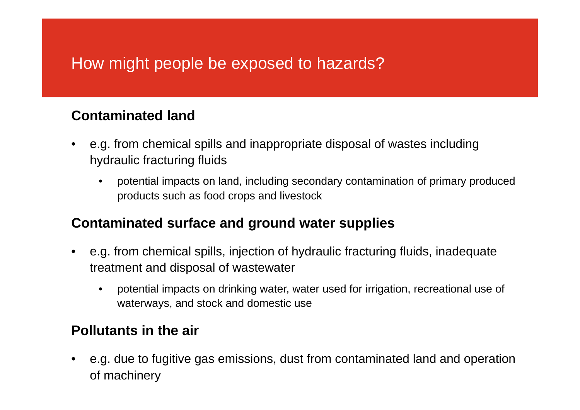# How might people be exposed to hazards?

#### **Contaminated land**

- • e.g. from chemical spills and inappropriate disposal of wastes including hydraulic fracturing fluids
	- • potential impacts on land, including secondary contamination of primary produced products such as food crops and livestock

#### **Contaminated surface and ground water supplies**

- • e.g. from chemical spills, injection of hydraulic fracturing fluids, inadequate treatment and disposal of wastewater
	- $\bullet$  potential impacts on drinking water, water used for irrigation, recreational use of waterways, and stock and domestic use

#### **Pollutants in the air**

• e.g. due to fugitive gas emissions, dust from contaminated land and operation of machinery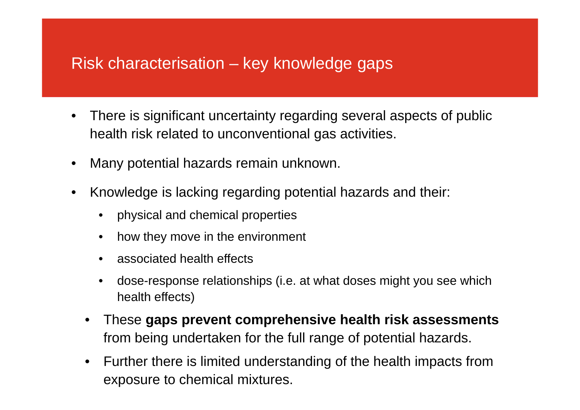# Risk characterisation – key knowledge gaps

- $\bullet$  There is significant uncertainty regarding several aspects of public health risk related to unconventional gas activities.
- $\bullet$ Many potential hazards remain unknown.
- • Knowledge is lacking regarding potential hazards and their:
	- •physical and chemical properties
	- $\bullet$ how they move in the environment
	- •associated health effects
	- • dose-response relationships (i.e. at what doses might you see which health effects)
	- • These **gaps prevent comprehensive health risk assessments**  from being undertaken for the full range of potential hazards.
	- • Further there is limited understanding of the health impacts from exposure to chemical mixtures.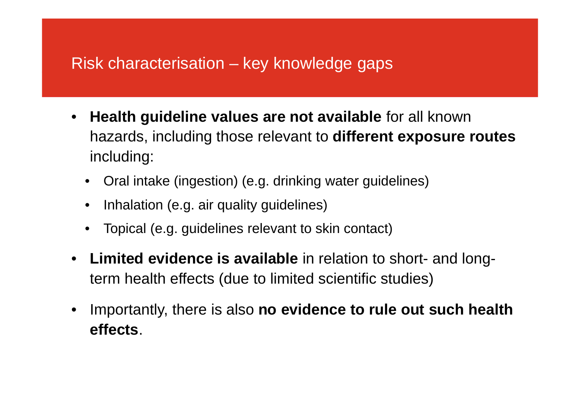# Risk characterisation – key knowledge gaps

- $\bullet$  **Health guideline values are not available** for all known hazards, including those relevant to **different exposure routes**  including:
	- Oral intake (ingestion) (e.g. drinking water guidelines)
	- •Inhalation (e.g. air quality guidelines)
	- •Topical (e.g. guidelines relevant to skin contact)
- • **Limited evidence is available** in relation to short- and longterm health effects (due to limited scientific studies)
- $\bullet$  Importantly, there is also **no evidence to rule out such health effects**.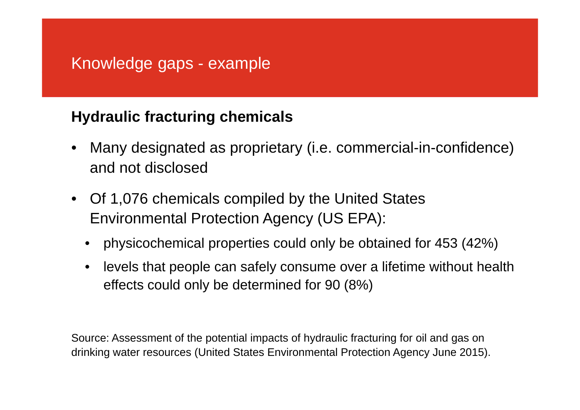# Knowledge gaps - example

### **Hydraulic fracturing chemicals**

- • Many designated as proprietary (i.e. commercial-in-confidence) and not disclosed
- Of 1,076 chemicals compiled by the United States Environmental Protection Agency (US EPA):
	- •physicochemical properties could only be obtained for 453 (42%)
	- $\bullet$  levels that people can safely consume over a lifetime without health effects could only be determined for 90 (8%)

Source: Assessment of the potential impacts of hydraulic fracturing for oil and gas on drinking water resources (United States Environmental Protection Agency June 2015).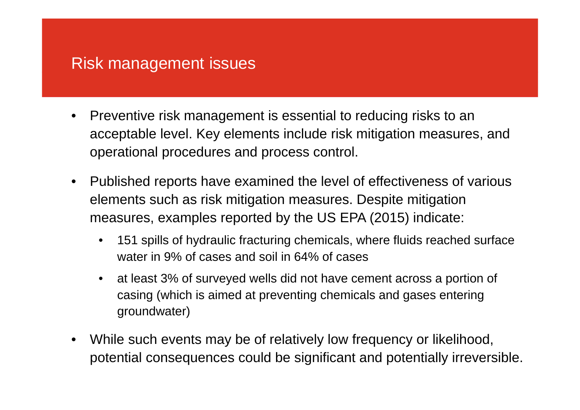# Risk management issues

- $\bullet$  Preventive risk management is essential to reducing risks to an acceptable level. Key elements include risk mitigation measures, and operational procedures and process control.
- $\bullet$  Published reports have examined the level of effectiveness of various elements such as risk mitigation measures. Despite mitigation measures, examples reported by the US EPA (2015) indicate:
	- • 151 spills of hydraulic fracturing chemicals, where fluids reached surface water in 9% of cases and soil in 64% of cases
	- • at least 3% of surveyed wells did not have cement across a portion of casing (which is aimed at preventing chemicals and gases entering groundwater)
- • While such events may be of relatively low frequency or likelihood, potential consequences could be significant and potentially irreversible.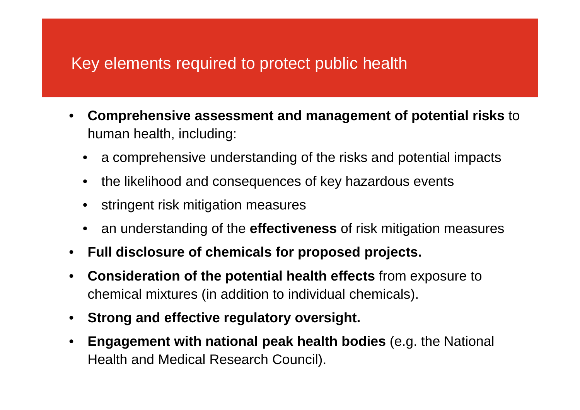# Key elements required to protect public health

- • **Comprehensive assessment and management of potential risks** to human health, including:
	- $\bullet$ <sup>a</sup> comprehensive understanding of the risks and potential impacts
	- •the likelihood and consequences of key hazardous events
	- •stringent risk mitigation measures
	- •an understanding of the **effectiveness** of risk mitigation measures
- •**Full disclosure of chemicals for proposed projects.**
- • **Consideration of the potential health effects** from exposure to chemical mixtures (in addition to individual chemicals).
- •**Strong and effective regulatory oversight.**
- • **Engagement with national peak health bodies** (e.g. the National Health and Medical Research Council).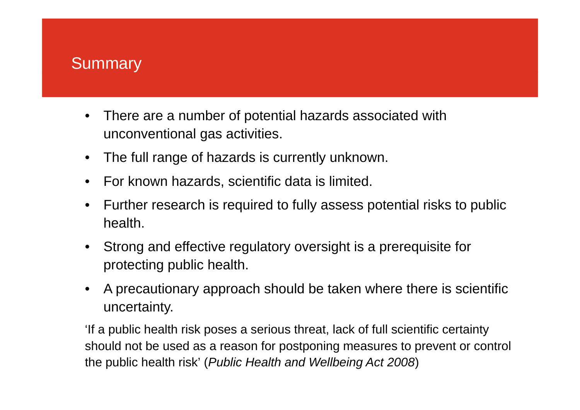### **Summary**

- • There are a number of potential hazards associated with unconventional gas activities.
- The full range of hazards is currently unknown.
- •For known hazards, scientific data is limited.
- • Further research is required to fully assess potential risks to public health.
- • Strong and effective regulatory oversight is a prerequisite for protecting public health.
- • A precautionary approach should be taken where there is scientific uncertainty.

'If a public health risk poses a serious threat, lack of full scientific certainty should not be used as a reason for postponing measures to prevent or control the public health risk' (*Public Health and Wellbeing Act 2008*)